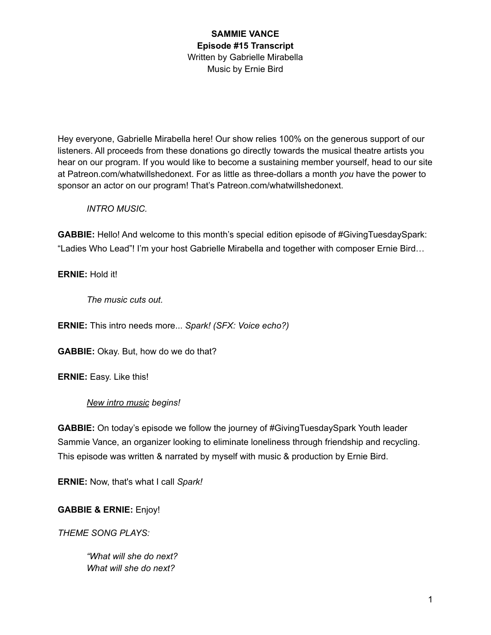Hey everyone, Gabrielle Mirabella here! Our show relies 100% on the generous support of our listeners. All proceeds from these donations go directly towards the musical theatre artists you hear on our program. If you would like to become a sustaining member yourself, head to our site at Patreon.com/whatwillshedonext. For as little as three-dollars a month *you* have the power to sponsor an actor on our program! That's Patreon.com/whatwillshedonext.

#### *INTRO MUSIC.*

**GABBIE:** Hello! And welcome to this month's special edition episode of #GivingTuesdaySpark: "Ladies Who Lead"! I'm your host Gabrielle Mirabella and together with composer Ernie Bird…

## **ERNIE:** Hold it!

*The music cuts out.*

**ERNIE:** This intro needs more... *Spark! (SFX: Voice echo?)*

**GABBIE:** Okay. But, how do we do that?

**ERNIE:** Easy. Like this!

# *New intro music begins!*

**GABBIE:** On today's episode we follow the journey of #GivingTuesdaySpark Youth leader Sammie Vance, an organizer looking to eliminate loneliness through friendship and recycling. This episode was written & narrated by myself with music & production by Ernie Bird.

**ERNIE:** Now, that's what I call *Spark!*

**GABBIE & ERNIE:** Enjoy!

*THEME SONG PLAYS:*

*"What will she do next? What will she do next?*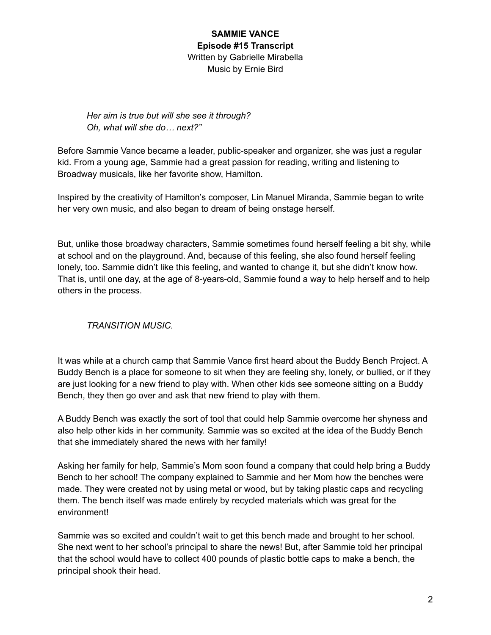*Her aim is true but will she see it through? Oh, what will she do… next?"*

Before Sammie Vance became a leader, public-speaker and organizer, she was just a regular kid. From a young age, Sammie had a great passion for reading, writing and listening to Broadway musicals, like her favorite show, Hamilton.

Inspired by the creativity of Hamilton's composer, Lin Manuel Miranda, Sammie began to write her very own music, and also began to dream of being onstage herself.

But, unlike those broadway characters, Sammie sometimes found herself feeling a bit shy, while at school and on the playground. And, because of this feeling, she also found herself feeling lonely, too. Sammie didn't like this feeling, and wanted to change it, but she didn't know how. That is, until one day, at the age of 8-years-old, Sammie found a way to help herself and to help others in the process.

# *TRANSITION MUSIC.*

It was while at a church camp that Sammie Vance first heard about the Buddy Bench Project. A Buddy Bench is a place for someone to sit when they are feeling shy, lonely, or bullied, or if they are just looking for a new friend to play with. When other kids see someone sitting on a Buddy Bench, they then go over and ask that new friend to play with them.

A Buddy Bench was exactly the sort of tool that could help Sammie overcome her shyness and also help other kids in her community. Sammie was so excited at the idea of the Buddy Bench that she immediately shared the news with her family!

Asking her family for help, Sammie's Mom soon found a company that could help bring a Buddy Bench to her school! The company explained to Sammie and her Mom how the benches were made. They were created not by using metal or wood, but by taking plastic caps and recycling them. The bench itself was made entirely by recycled materials which was great for the environment!

Sammie was so excited and couldn't wait to get this bench made and brought to her school. She next went to her school's principal to share the news! But, after Sammie told her principal that the school would have to collect 400 pounds of plastic bottle caps to make a bench, the principal shook their head.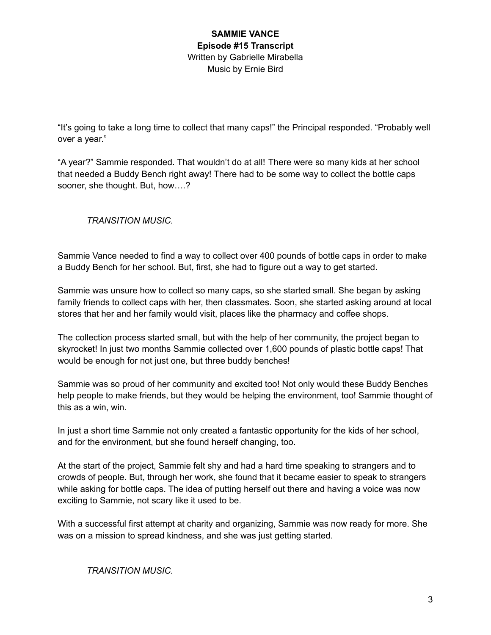"It's going to take a long time to collect that many caps!" the Principal responded. "Probably well over a year."

"A year?" Sammie responded. That wouldn't do at all! There were so many kids at her school that needed a Buddy Bench right away! There had to be some way to collect the bottle caps sooner, she thought. But, how….?

*TRANSITION MUSIC.*

Sammie Vance needed to find a way to collect over 400 pounds of bottle caps in order to make a Buddy Bench for her school. But, first, she had to figure out a way to get started.

Sammie was unsure how to collect so many caps, so she started small. She began by asking family friends to collect caps with her, then classmates. Soon, she started asking around at local stores that her and her family would visit, places like the pharmacy and coffee shops.

The collection process started small, but with the help of her community, the project began to skyrocket! In just two months Sammie collected over 1,600 pounds of plastic bottle caps! That would be enough for not just one, but three buddy benches!

Sammie was so proud of her community and excited too! Not only would these Buddy Benches help people to make friends, but they would be helping the environment, too! Sammie thought of this as a win, win.

In just a short time Sammie not only created a fantastic opportunity for the kids of her school, and for the environment, but she found herself changing, too.

At the start of the project, Sammie felt shy and had a hard time speaking to strangers and to crowds of people. But, through her work, she found that it became easier to speak to strangers while asking for bottle caps. The idea of putting herself out there and having a voice was now exciting to Sammie, not scary like it used to be.

With a successful first attempt at charity and organizing, Sammie was now ready for more. She was on a mission to spread kindness, and she was just getting started.

*TRANSITION MUSIC.*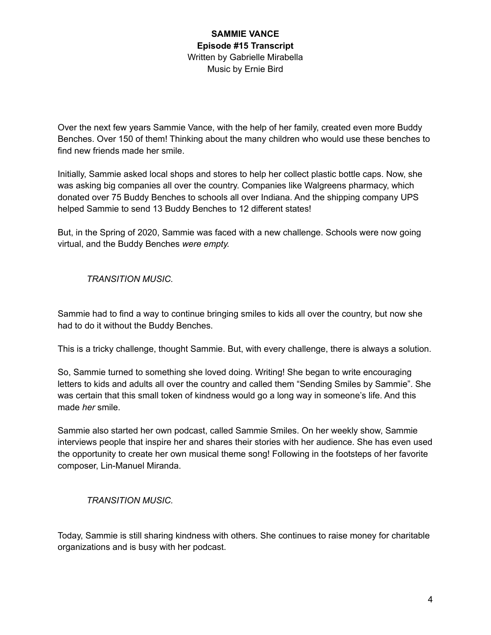Over the next few years Sammie Vance, with the help of her family, created even more Buddy Benches. Over 150 of them! Thinking about the many children who would use these benches to find new friends made her smile.

Initially, Sammie asked local shops and stores to help her collect plastic bottle caps. Now, she was asking big companies all over the country. Companies like Walgreens pharmacy, which donated over 75 Buddy Benches to schools all over Indiana. And the shipping company UPS helped Sammie to send 13 Buddy Benches to 12 different states!

But, in the Spring of 2020, Sammie was faced with a new challenge. Schools were now going virtual, and the Buddy Benches *were empty.*

*TRANSITION MUSIC.*

Sammie had to find a way to continue bringing smiles to kids all over the country, but now she had to do it without the Buddy Benches.

This is a tricky challenge, thought Sammie. But, with every challenge, there is always a solution.

So, Sammie turned to something she loved doing. Writing! She began to write encouraging letters to kids and adults all over the country and called them "Sending Smiles by Sammie". She was certain that this small token of kindness would go a long way in someone's life. And this made *her* smile.

Sammie also started her own podcast, called Sammie Smiles. On her weekly show, Sammie interviews people that inspire her and shares their stories with her audience. She has even used the opportunity to create her own musical theme song! Following in the footsteps of her favorite composer, Lin-Manuel Miranda.

*TRANSITION MUSIC.*

Today, Sammie is still sharing kindness with others. She continues to raise money for charitable organizations and is busy with her podcast.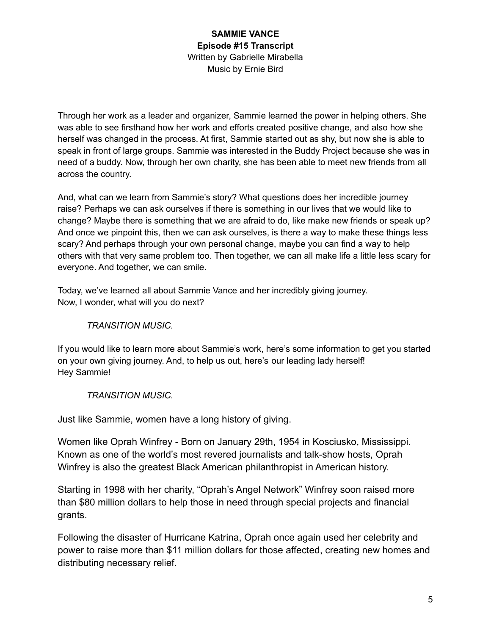Through her work as a leader and organizer, Sammie learned the power in helping others. She was able to see firsthand how her work and efforts created positive change, and also how she herself was changed in the process. At first, Sammie started out as shy, but now she is able to speak in front of large groups. Sammie was interested in the Buddy Project because she was in need of a buddy. Now, through her own charity, she has been able to meet new friends from all across the country.

And, what can we learn from Sammie's story? What questions does her incredible journey raise? Perhaps we can ask ourselves if there is something in our lives that we would like to change? Maybe there is something that we are afraid to do, like make new friends or speak up? And once we pinpoint this, then we can ask ourselves, is there a way to make these things less scary? And perhaps through your own personal change, maybe you can find a way to help others with that very same problem too. Then together, we can all make life a little less scary for everyone. And together, we can smile.

Today, we've learned all about Sammie Vance and her incredibly giving journey. Now, I wonder, what will you do next?

# *TRANSITION MUSIC.*

If you would like to learn more about Sammie's work, here's some information to get you started on your own giving journey. And, to help us out, here's our leading lady herself! Hey Sammie!

#### *TRANSITION MUSIC.*

Just like Sammie, women have a long history of giving.

Women like Oprah Winfrey - Born on January 29th, 1954 in Kosciusko, Mississippi. Known as one of the world's most revered journalists and talk-show hosts, Oprah Winfrey is also the greatest Black American philanthropist in American history.

Starting in 1998 with her charity, "Oprah's Angel Network" Winfrey soon raised more than \$80 million dollars to help those in need through special projects and financial grants.

Following the disaster of Hurricane Katrina, Oprah once again used her celebrity and power to raise more than \$11 million dollars for those affected, creating new homes and distributing necessary relief.